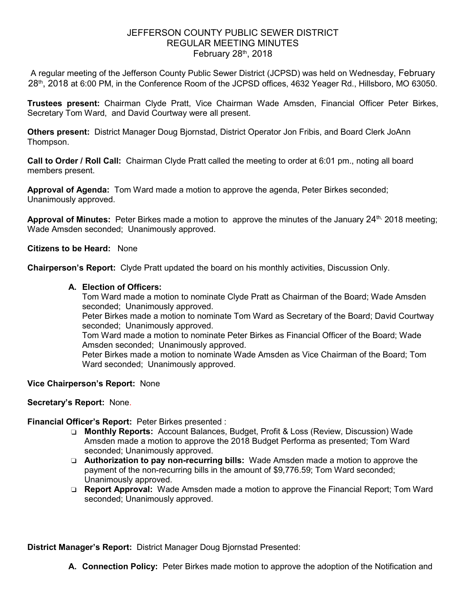## JEFFERSON COUNTY PUBLIC SEWER DISTRICT REGULAR MEETING MINUTES February  $28<sup>th</sup>$ , 2018

A regular meeting of the Jefferson County Public Sewer District (JCPSD) was held on Wednesday, February 28<sup>th</sup>, 2018 at 6:00 PM, in the Conference Room of the JCPSD offices, 4632 Yeager Rd., Hillsboro, MO 63050.

**Trustees present:** Chairman Clyde Pratt, Vice Chairman Wade Amsden, Financial Officer Peter Birkes, Secretary Tom Ward, and David Courtway were all present.

**Others present:** District Manager Doug Bjornstad, District Operator Jon Fribis, and Board Clerk JoAnn Thompson.

**Call to Order / Roll Call:** Chairman Clyde Pratt called the meeting to order at 6:01 pm., noting all board members present.

**Approval of Agenda:** Tom Ward made a motion to approve the agenda, Peter Birkes seconded; Unanimously approved.

Approval of Minutes: Peter Birkes made a motion to approve the minutes of the January 24<sup>th,</sup> 2018 meeting; Wade Amsden seconded; Unanimously approved.

**Citizens to be Heard:** None

**Chairperson's Report:** Clyde Pratt updated the board on his monthly activities, Discussion Only.

### **A. Election of Officers:**

Tom Ward made a motion to nominate Clyde Pratt as Chairman of the Board; Wade Amsden seconded; Unanimously approved.

Peter Birkes made a motion to nominate Tom Ward as Secretary of the Board; David Courtway seconded; Unanimously approved.

Tom Ward made a motion to nominate Peter Birkes as Financial Officer of the Board; Wade Amsden seconded; Unanimously approved.

Peter Birkes made a motion to nominate Wade Amsden as Vice Chairman of the Board; Tom Ward seconded; Unanimously approved.

### **Vice Chairperson's Report:** None

**Secretary's Report:** None.

### **Financial Officer's Report:** Peter Birkes presented :

- ❏ **Monthly Reports:** Account Balances, Budget, Profit & Loss (Review, Discussion) Wade Amsden made a motion to approve the 2018 Budget Performa as presented; Tom Ward seconded; Unanimously approved.
- ❏ **Authorization to pay non-recurring bills:** Wade Amsden made a motion to approve the payment of the non-recurring bills in the amount of \$9,776.59; Tom Ward seconded; Unanimously approved.
- ❏ **Report Approval:** Wade Amsden made a motion to approve the Financial Report; Tom Ward seconded; Unanimously approved.

**District Manager's Report:** District Manager Doug Bjornstad Presented:

**A. Connection Policy:** Peter Birkes made motion to approve the adoption of the Notification and